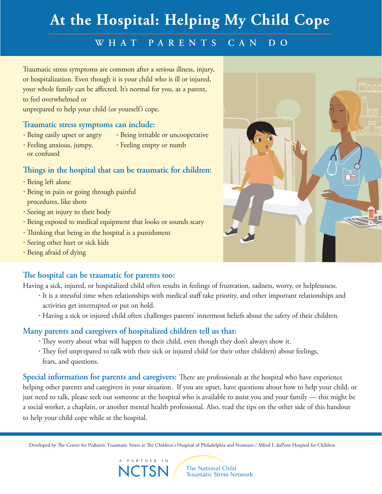# **At the Hospital: Helping My Child Cope**

### **W H A T P ARE N T S CAN D O**

Traumatic stress symptoms are common after a serious illness, injury, or hospitalization. Even though it is your child who is ill or injured, your whole family can be affected. It's normal for you, as a parent, to feel overwhelmed or

unprepared to help your child (or yourself) cope.

#### **Traumatic stress symptoms can include:**

- Being easily upset or angry
- Being irritable or uncooperative
- Feeling anxious, jumpy, or confused
- Feeling empty or numb
- **ings in the hospital that can be traumatic for children:**
- Being left alone
- Being in pain or going through painful procedures, like shots
- Seeing an injury to their body
- Being exposed to medical equipment that looks or sounds scary
- Thinking that being in the hospital is a punishment
- Seeing other hurt or sick kids
- Being afraid of dying

#### **e hospital can be traumatic for parents too:**

Having a sick, injured, or hospitalized child often results in feelings of frustration, sadness, worry, or helplessness.

- It is a stressful time when relationships with medical staff take priority, and other important relationships and activities get interrupted or put on hold.
- Having a sick or injured child often challenges parents' innermost beliefs about the safety of their children.

#### **Many parents and caregivers of hospitalized children tell us that:**

- They worry about what will happen to their child, even though they don't always show it.
- They feel unprepared to talk with their sick or injured child (or their other children) about feelings, fears, and questions.

**Special information for parents and caregivers:** There are professionals at the hospital who have experience helping other parents and caregivers in your situation. If you are upset, have questions about how to help your child, or just need to talk, please seek out someone at the hospital who is available to assist you and your family — this might be a social worker, a chaplain, or another mental health professional. Also, read the tips on the other side of this handout to help your child cope while at the hospital.

Developed by The Center for Pediatric Traumatic Stress at The Children's Hospital of Philadelphia and Nemours / Alfred I. duPont Hospital for Children



The National Child **Traumatic Stress Network**